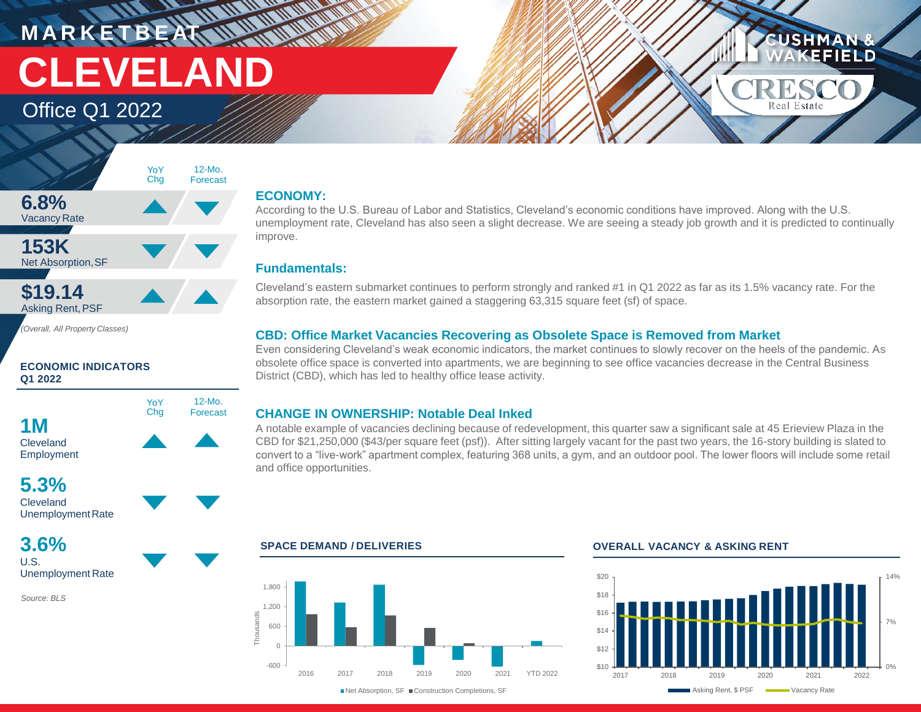# **M A R K E T B E AT CLEVELAND**

Office Q1 2022



*(Overall, All Property Classes)*

#### **ECONOMIC INDICATORS Q1 2022**



#### **5.3%** Cleveland

Unemployment Rate

**3.6%** U.S. Unemployment Rate

*Source: BLS*

#### **ECONOMY:**

**WALLAND** 

According to the U.S. Bureau of Labor and Statistics, Cleveland's economic conditions have improved. Along with the U.S. unemployment rate, Cleveland has also seen a slight decrease. We are seeing a steady job growth and it is predicted to continually improve.

#### **Fundamentals:**

Cleveland's eastern submarket continues to perform strongly and ranked #1 in Q1 2022 as far as its 1.5% vacancy rate. For the absorption rate, the eastern market gained a staggering 63,315 square feet (sf) of space.

#### **CBD: Office Market Vacancies Recovering as Obsolete Space is Removed from Market**

Even considering Cleveland's weak economic indicators, the market continues to slowly recover on the heels of the pandemic. As obsolete office space is converted into apartments, we are beginning to see office vacancies decrease in the Central Business District (CBD), which has led to healthy office lease activity.

#### **CHANGE IN OWNERSHIP: Notable Deal Inked**

A notable example of vacancies declining because of redevelopment, this quarter saw a significant sale at 45 Erieview Plaza in the CBD for \$21,250,000 (\$43/per square feet (psf)). After sitting largely vacant for the past two years, the 16-story building is slated to convert to a "live-work" apartment complex, featuring 368 units, a gym, and an outdoor pool. The lower floors will include some retail and office opportunities.



#### **SPACE DEMAND / DELIVERIES OVERALL VACANCY & ASKING RENT**



**CUSHMAN** 

RESC Real Estate

**KEFIELD**